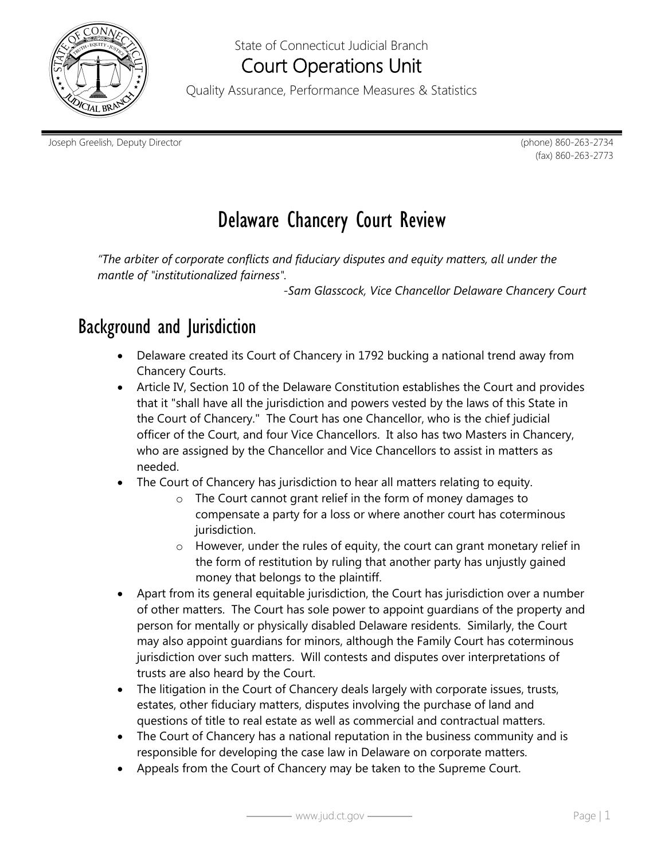

## State of Connecticut Judicial Branch Court Operations Unit

Quality Assurance, Performance Measures & Statistics

Joseph Greelish, Deputy Director (phone) 860-263-2734

(fax) 860-263-2773

# Delaware Chancery Court Review

*"The arbiter of corporate conflicts and fiduciary disputes and equity matters, all under the mantle of "institutionalized fairness".* 

*-Sam Glasscock, Vice Chancellor Delaware Chancery Court*

# Background and Jurisdiction

- Delaware created its Court of Chancery in 1792 bucking a national trend away from Chancery Courts.
- Article IV, Section 10 of the Delaware Constitution establishes the Court and provides that it "shall have all the jurisdiction and powers vested by the laws of this State in the Court of Chancery." The Court has one Chancellor, who is the chief judicial officer of the Court, and four Vice Chancellors. It also has two Masters in Chancery, who are assigned by the Chancellor and Vice Chancellors to assist in matters as needed.
- The Court of Chancery has jurisdiction to hear all matters relating to equity.
	- o The Court cannot grant relief in the form of money damages to compensate a party for a loss or where another court has coterminous jurisdiction.
	- o However, under the rules of equity, the court can grant monetary relief in the form of restitution by ruling that another party has unjustly gained money that belongs to the plaintiff.
- Apart from its general equitable jurisdiction, the Court has jurisdiction over a number of other matters. The Court has sole power to appoint guardians of the property and person for mentally or physically disabled Delaware residents. Similarly, the Court may also appoint guardians for minors, although the Family Court has coterminous jurisdiction over such matters. Will contests and disputes over interpretations of trusts are also heard by the Court.
- The litigation in the Court of Chancery deals largely with corporate issues, trusts, estates, other fiduciary matters, disputes involving the purchase of land and questions of title to real estate as well as commercial and contractual matters.
- The Court of Chancery has a national reputation in the business community and is responsible for developing the case law in Delaware on corporate matters.
- Appeals from the Court of Chancery may be taken to the Supreme Court.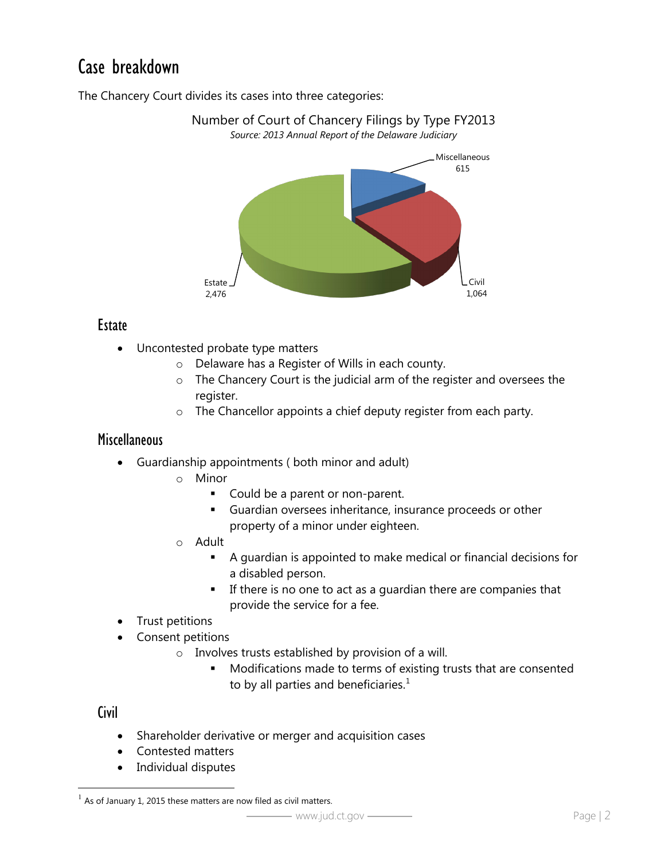# Case breakdown

The Chancery Court divides its cases into three categories:



Number of Court of Chancery Filings by Type FY2013

#### **Estate**

- Uncontested probate type matters
	- o Delaware has a Register of Wills in each county.
	- o The Chancery Court is the judicial arm of the register and oversees the register.
	- o The Chancellor appoints a chief deputy register from each party.

#### **Miscellaneous**

- Guardianship appointments ( both minor and adult)
	- o Minor
		- Could be a parent or non-parent.
		- Guardian oversees inheritance, insurance proceeds or other property of a minor under eighteen.
	- o Adult
		- A guardian is appointed to make medical or financial decisions for a disabled person.
		- **If there is no one to act as a guardian there are companies that** provide the service for a fee.
- Trust petitions
- Consent petitions
	- o Involves trusts established by provision of a will.
		- **Modifications made to terms of existing trusts that are consented** to by all parties and beneficiaries. $^1$  $^1$

#### **Civil**

- Shareholder derivative or merger and acquisition cases
- Contested matters
- Individual disputes

<span id="page-1-0"></span>As of January 1, 2015 these matters are now filed as civil matters.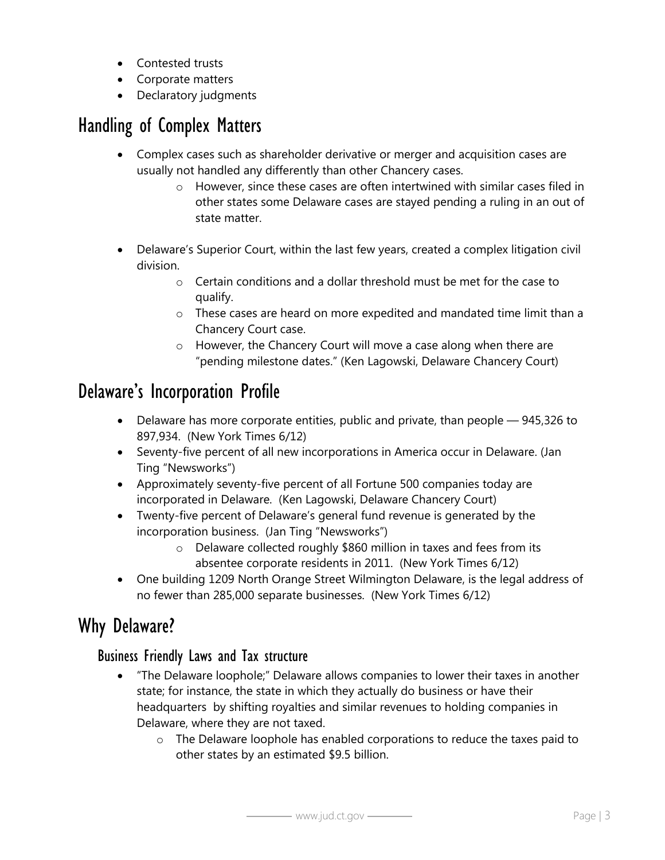- Contested trusts
- Corporate matters
- Declaratory judgments

# Handling of Complex Matters

- Complex cases such as shareholder derivative or merger and acquisition cases are usually not handled any differently than other Chancery cases.
	- $\circ$  However, since these cases are often intertwined with similar cases filed in other states some Delaware cases are stayed pending a ruling in an out of state matter.
- Delaware's Superior Court, within the last few years, created a complex litigation civil division.
	- o Certain conditions and a dollar threshold must be met for the case to qualify.
	- o These cases are heard on more expedited and mandated time limit than a Chancery Court case.
	- o However, the Chancery Court will move a case along when there are "pending milestone dates." (Ken Lagowski, Delaware Chancery Court)

# Delaware's Incorporation Profile

- Delaware has more corporate entities, public and private, than people 945,326 to 897,934. (New York Times 6/12)
- Seventy-five percent of all new incorporations in America occur in Delaware. (Jan Ting "Newsworks")
- Approximately seventy-five percent of all Fortune 500 companies today are incorporated in Delaware. (Ken Lagowski, Delaware Chancery Court)
- Twenty-five percent of Delaware's general fund revenue is generated by the incorporation business. (Jan Ting "Newsworks")
	- o Delaware collected roughly \$860 million in taxes and fees from its absentee corporate residents in 2011. (New York Times 6/12)
- One building 1209 North Orange Street Wilmington Delaware, is the legal address of no fewer than 285,000 separate businesses. (New York Times 6/12)

# Why Delaware?

## Business Friendly Laws and Tax structure

- <span id="page-2-0"></span>• "The Delaware loophole;" Delaware allows companies to lower their taxes in another state; for instance, the state in which they actually do business or have their headquarters by shifting royalties and similar revenues to holding companies in Delaware, where they are not taxed.
	- o The Delaware loophole has enabled corporations to reduce the taxes paid to other states by an estimated \$9.5 billion.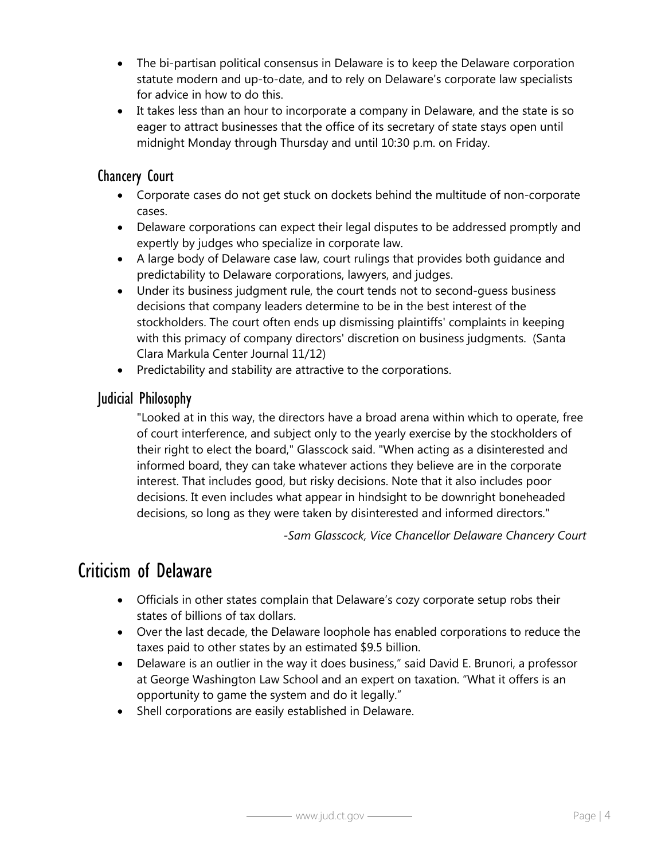- The bi-partisan political consensus in Delaware is to keep the Delaware corporation statute modern and up-to-date, and to rely on Delaware's corporate law specialists for advice in how to do this.
- It takes less than an hour to incorporate a company in Delaware, and the state is so eager to attract businesses that the office of its secretary of state stays open until midnight Monday through Thursday and until 10:30 p.m. on Friday.

## Chancery Court

- Corporate cases do not get stuck on dockets behind the multitude of non-corporate cases.
- Delaware corporations can expect their legal disputes to be addressed promptly and expertly by judges who specialize in corporate law.
- A large body of Delaware case law, court rulings that provides both guidance and predictability to Delaware corporations, lawyers, and judges.
- Under its business judgment rule, the court tends not to second-guess business decisions that company leaders determine to be in the best interest of the stockholders. The court often ends up dismissing plaintiffs' complaints in keeping with this primacy of company directors' discretion on business judgments. (Santa Clara Markula Center Journal 11/12)
- Predictability and stability are attractive to the corporations.

### Judicial Philosophy

"Looked at in this way, the directors have a broad arena within which to operate, free of court interference, and subject only to the yearly exercise by the stockholders of their right to elect the board," Glasscock said. "When acting as a disinterested and informed board, they can take whatever actions they believe are in the corporate interest. That includes good, but risky decisions. Note that it also includes poor decisions. It even includes what appear in hindsight to be downright boneheaded decisions, so long as they were taken by disinterested and informed directors."

*-Sam Glasscock, Vice Chancellor Delaware Chancery Court*

## Criticism of Delaware

- Officials in other states complain that Delaware's cozy corporate setup robs their states of billions of tax dollars.
- Over the last decade, the Delaware loophole has enabled corporations to reduce the taxes paid to other states by an estimated \$9.5 billion.
- Delaware is an outlier in the way it does business," said David E. Brunori, a professor at George Washington Law School and an expert on taxation. "What it offers is an opportunity to game the system and do it legally."
- Shell corporations are easily established in Delaware.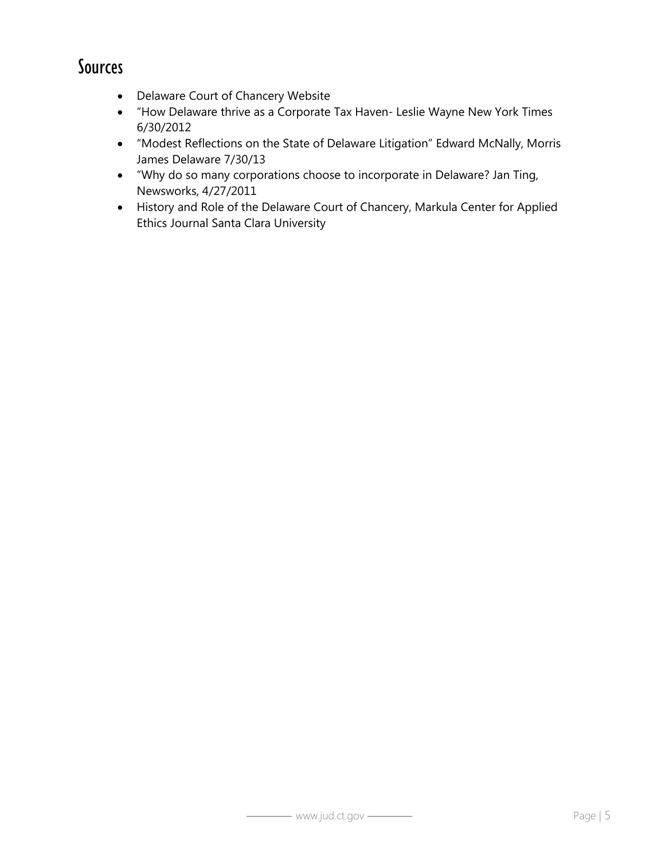## Sources

- Delaware Court of Chancery Website
- "How Delaware thrive as a Corporate Tax Haven- Leslie Wayne New York Times 6/30/2012
- "Modest Reflections on the State of Delaware Litigation" Edward McNally, Morris James Delaware 7/30/13
- "Why do so many corporations choose to incorporate in Delaware? Jan Ting, Newsworks, 4/27/2011
- History and Role of the Delaware Court of Chancery, Markula Center for Applied Ethics Journal Santa Clara University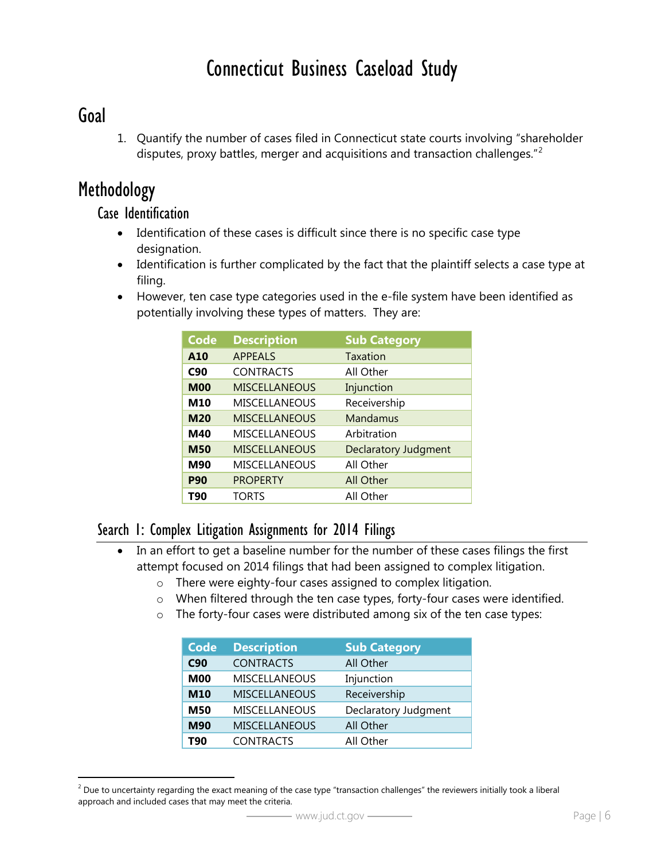# Connecticut Business Caseload Study

## Goal

 $\overline{a}$ 

1. Quantify the number of cases filed in Connecticut state courts involving "shareholder disputes, proxy battles, merger and acquisitions and transaction challenges."<sup>[2](#page-1-0)</sup>

## Methodology

### Case Identification

- Identification of these cases is difficult since there is no specific case type designation.
- Identification is further complicated by the fact that the plaintiff selects a case type at filing.
- However, ten case type categories used in the e-file system have been identified as potentially involving these types of matters. They are:

| <b>Code</b> | <b>Description</b>   | <b>Sub Category</b>         |
|-------------|----------------------|-----------------------------|
| A10         | <b>APPEALS</b>       | Taxation                    |
| C90         | <b>CONTRACTS</b>     | All Other                   |
| <b>M00</b>  | <b>MISCELLANEOUS</b> | Injunction                  |
| M10         | <b>MISCELLANEOUS</b> | Receivership                |
| <b>M20</b>  | <b>MISCELLANEOUS</b> | Mandamus                    |
| M40         | <b>MISCELLANEOUS</b> | Arbitration                 |
| <b>M50</b>  | <b>MISCELLANEOUS</b> | <b>Declaratory Judgment</b> |
| M90         | <b>MISCELLANEOUS</b> | All Other                   |
| <b>P90</b>  | <b>PROPERTY</b>      | <b>All Other</b>            |
| <b>T90</b>  | <b>TORTS</b>         | All Other                   |

### Search 1: Complex Litigation Assignments for 2014 Filings

- In an effort to get a baseline number for the number of these cases filings the first attempt focused on 2014 filings that had been assigned to complex litigation.
	- o There were eighty-four cases assigned to complex litigation.
	- o When filtered through the ten case types, forty-four cases were identified.
	- o The forty-four cases were distributed among six of the ten case types:

| <b>Code</b> | <b>Description</b>   | <b>Sub Category</b>  |
|-------------|----------------------|----------------------|
| C90         | <b>CONTRACTS</b>     | All Other            |
| <b>M00</b>  | <b>MISCELLANEOUS</b> | Injunction           |
| M10         | <b>MISCELLANEOUS</b> | Receivership         |
| M50         | MISCELLANEOUS        | Declaratory Judgment |
| M90         | <b>MISCELLANEOUS</b> | All Other            |
| <b>T90</b>  | <b>CONTRACTS</b>     | All Other            |

<span id="page-5-0"></span> $2$  Due to uncertainty regarding the exact meaning of the case type "transaction challenges" the reviewers initially took a liberal approach and included cases that may meet the criteria.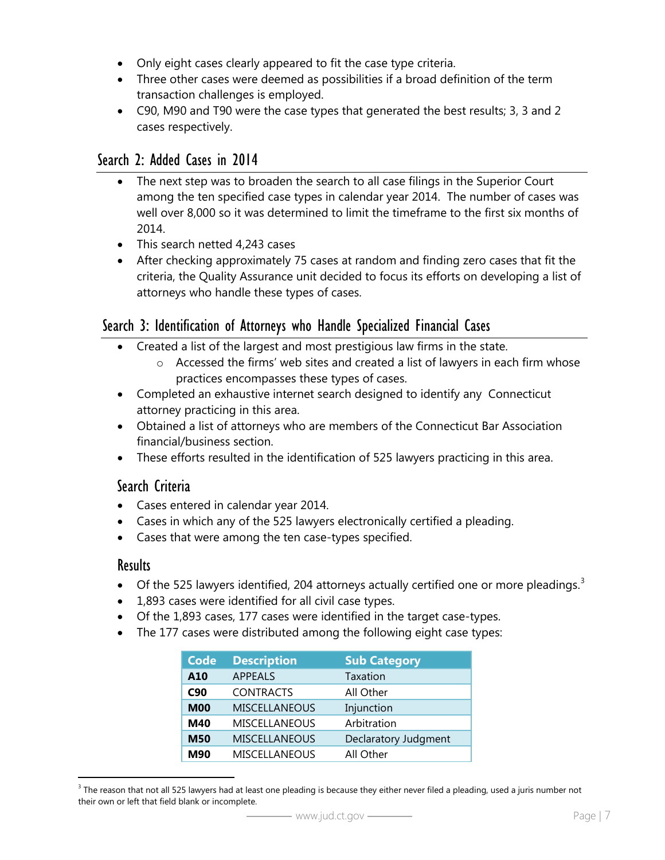- Only eight cases clearly appeared to fit the case type criteria.
- Three other cases were deemed as possibilities if a broad definition of the term transaction challenges is employed.
- C90, M90 and T90 were the case types that generated the best results; 3, 3 and 2 cases respectively.

### Search 2: Added Cases in 2014

- The next step was to broaden the search to all case filings in the Superior Court among the ten specified case types in calendar year 2014. The number of cases was well over 8,000 so it was determined to limit the timeframe to the first six months of 2014.
- This search netted 4,243 cases
- After checking approximately 75 cases at random and finding zero cases that fit the criteria, the Quality Assurance unit decided to focus its efforts on developing a list of attorneys who handle these types of cases.

### Search 3: Identification of Attorneys who Handle Specialized Financial Cases

- Created a list of the largest and most prestigious law firms in the state.
	- $\circ$  Accessed the firms' web sites and created a list of lawyers in each firm whose practices encompasses these types of cases.
- Completed an exhaustive internet search designed to identify any Connecticut attorney practicing in this area.
- Obtained a list of attorneys who are members of the Connecticut Bar Association financial/business section.
- These efforts resulted in the identification of 525 lawyers practicing in this area.

### Search Criteria

- Cases entered in calendar year 2014.
- Cases in which any of the 525 lawyers electronically certified a pleading.
- Cases that were among the ten case-types specified.

#### **Results**

 $\overline{a}$ 

- $\bullet$  Of the 525 lawyers identified, 204 attorneys actually certified one or more pleadings.<sup>[3](#page-5-0)</sup>
- 1,893 cases were identified for all civil case types.
- Of the 1,893 cases, 177 cases were identified in the target case-types.
- The 177 cases were distributed among the following eight case types:

| <b>Code</b> | <b>Description</b>   | <b>Sub Category</b>  |
|-------------|----------------------|----------------------|
| A10         | <b>APPEALS</b>       | Taxation             |
| C90         | <b>CONTRACTS</b>     | All Other            |
| <b>M00</b>  | <b>MISCELLANEOUS</b> | Injunction           |
| M40         | <b>MISCELLANEOUS</b> | Arbitration          |
| <b>M50</b>  | <b>MISCELLANEOUS</b> | Declaratory Judgment |
| <b>M90</b>  | <b>MISCELLANEOUS</b> | All Other            |

<span id="page-6-0"></span> $3$  The reason that not all 525 lawyers had at least one pleading is because they either never filed a pleading, used a juris number not their own or left that field blank or incomplete.